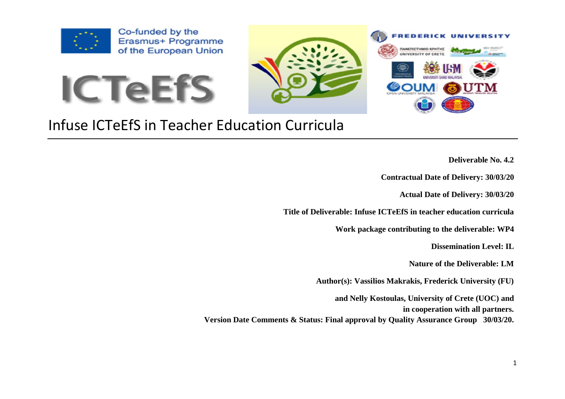

Co-funded by the Erasmus+ Programme of the European Union





## Infuse ICTeEfS in Teacher Education Curricula

- **Deliverable No. 4.2**
- **Contractual Date of Delivery: 30/03/20**
	- **Actual Date of Delivery: 30/03/20**

**Title of Deliverable: Infuse ICTeEfS in teacher education curricula**

**Work package contributing to the deliverable: WP4**

**Dissemination Level: IL**

**Nature of the Deliverable: LM**

**Author(s): Vassilios Makrakis, Frederick University (FU)** 

**and Nelly Kostoulas, University of Crete (UOC) and in cooperation with all partners. Version Date Comments & Status: Final approval by Quality Assurance Group 30/03/20.**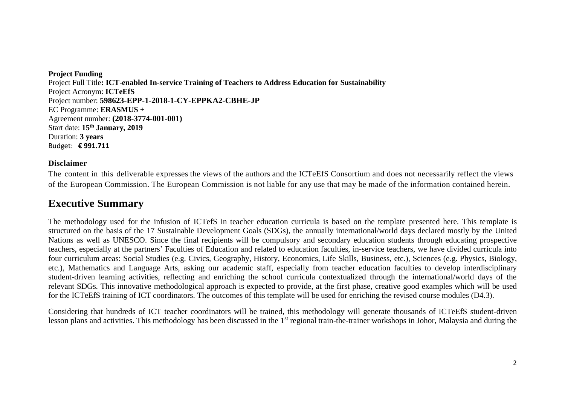**Project Funding**  Project Full Title**: ICT-enabled In-service Training of Teachers to Address Education for Sustainability** Project Acronym: **ICTeEfS** Project number: **598623-EPP-1-2018-1-CY-EPPKA2-CBHE-JP** EC Programme: **ERASMUS +** Agreement number: **(2018-3774-001-001)** Start date: **15th January, 2019** Duration: **3 years**  Budget: **€ 991.711**

## **Disclaimer**

The content in this deliverable expresses the views of the authors and the ICTeEfS Consortium and does not necessarily reflect the views of the European Commission. The European Commission is not liable for any use that may be made of the information contained herein.

## **Executive Summary**

The methodology used for the infusion of ICTefS in teacher education curricula is based on the template presented here. This template is structured on the basis of the 17 Sustainable Development Goals (SDGs), the annually international/world days declared mostly by the United Nations as well as UNESCO. Since the final recipients will be compulsory and secondary education students through educating prospective teachers, especially at the partners' Faculties of Education and related to education faculties, in-service teachers, we have divided curricula into four curriculum areas: Social Studies (e.g. Civics, Geography, History, Economics, Life Skills, Business, etc.), Sciences (e.g. Physics, Biology, etc.), Mathematics and Language Arts, asking our academic staff, especially from teacher education faculties to develop interdisciplinary student-driven learning activities, reflecting and enriching the school curricula contextualized through the international/world days of the relevant SDGs. This innovative methodological approach is expected to provide, at the first phase, creative good examples which will be used for the ICTeEfS training of ICT coordinators. The outcomes of this template will be used for enriching the revised course modules (D4.3).

Considering that hundreds of ICT teacher coordinators will be trained, this methodology will generate thousands of ICTeEfS student-driven lesson plans and activities. This methodology has been discussed in the 1<sup>st</sup> regional train-the-trainer workshops in Johor, Malaysia and during the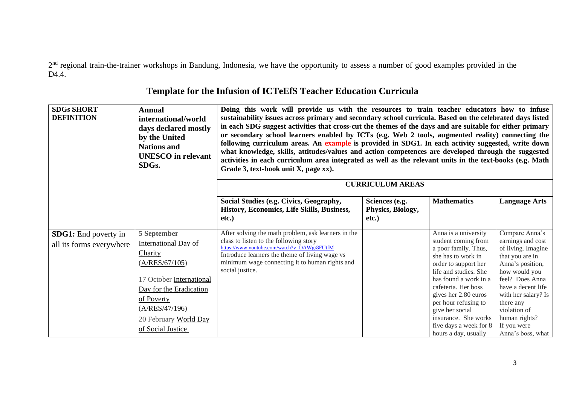2<sup>nd</sup> regional train-the-trainer workshops in Bandung, Indonesia, we have the opportunity to assess a number of good examples provided in the D<sub>4</sub>.4.

| <b>SDGs SHORT</b><br><b>DEFINITION</b>                  | <b>Annual</b><br>international/world<br>days declared mostly<br>by the United<br><b>Nations and</b><br><b>UNESCO</b> in relevant<br>SDG <sub>s</sub> .                                                       | Doing this work will provide us with the resources to train teacher educators how to infuse<br>sustainability issues across primary and secondary school curricula. Based on the celebrated days listed<br>in each SDG suggest activities that cross-cut the themes of the days and are suitable for either primary<br>or secondary school learners enabled by ICTs (e.g. Web 2 tools, augmented reality) connecting the<br>following curriculum areas. An example is provided in SDG1. In each activity suggested, write down<br>what knowledge, skills, attitudes/values and action competences are developed through the suggested<br>activities in each curriculum area integrated as well as the relevant units in the text-books (e.g. Math<br>Grade 3, text-book unit X, page xx). |                                                 |                                                                                                                                                                                                                                                                                                                                         |                                                                                                                                                                                                                                                                     |  |  |
|---------------------------------------------------------|--------------------------------------------------------------------------------------------------------------------------------------------------------------------------------------------------------------|-------------------------------------------------------------------------------------------------------------------------------------------------------------------------------------------------------------------------------------------------------------------------------------------------------------------------------------------------------------------------------------------------------------------------------------------------------------------------------------------------------------------------------------------------------------------------------------------------------------------------------------------------------------------------------------------------------------------------------------------------------------------------------------------|-------------------------------------------------|-----------------------------------------------------------------------------------------------------------------------------------------------------------------------------------------------------------------------------------------------------------------------------------------------------------------------------------------|---------------------------------------------------------------------------------------------------------------------------------------------------------------------------------------------------------------------------------------------------------------------|--|--|
|                                                         |                                                                                                                                                                                                              |                                                                                                                                                                                                                                                                                                                                                                                                                                                                                                                                                                                                                                                                                                                                                                                           | <b>CURRICULUM AREAS</b>                         |                                                                                                                                                                                                                                                                                                                                         |                                                                                                                                                                                                                                                                     |  |  |
|                                                         |                                                                                                                                                                                                              | Social Studies (e.g. Civics, Geography,<br>History, Economics, Life Skills, Business,<br>etc.)                                                                                                                                                                                                                                                                                                                                                                                                                                                                                                                                                                                                                                                                                            | Sciences (e.g.<br>Physics, Biology,<br>$etc.$ ) | <b>Mathematics</b>                                                                                                                                                                                                                                                                                                                      | <b>Language Arts</b>                                                                                                                                                                                                                                                |  |  |
| <b>SDG1:</b> End poverty in<br>all its forms everywhere | 5 September<br><b>International Day of</b><br>Charity<br>(A/RES/67/105)<br>17 October International<br>Day for the Eradication<br>of Poverty<br>(A/RES/47/196)<br>20 February World Day<br>of Social Justice | After solving the math problem, ask learners in the<br>class to listen to the following story<br>https://www.youtube.com/watch?v=DAWgr8FUtfM<br>Introduce learners the theme of living wage vs<br>minimum wage connecting it to human rights and<br>social justice.                                                                                                                                                                                                                                                                                                                                                                                                                                                                                                                       |                                                 | Anna is a university<br>student coming from<br>a poor family. Thus,<br>she has to work in<br>order to support her<br>life and studies. She<br>has found a work in a<br>cafeteria. Her boss<br>gives her 2.80 euros<br>per hour refusing to<br>give her social<br>insurance. She works<br>five days a week for 8<br>hours a day, usually | Compare Anna's<br>earnings and cost<br>of living. Imagine<br>that you are in<br>Anna's position,<br>how would you<br>feel? Does Anna<br>have a decent life<br>with her salary? Is<br>there any<br>violation of<br>human rights?<br>If you were<br>Anna's boss, what |  |  |

## **Template for the Infusion of ICTeEfS Teacher Education Curricula**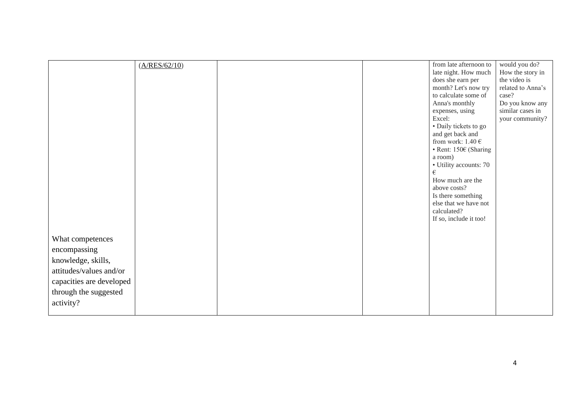|                                                   | (A/RES/62/10) |  | from late afternoon to<br>late night. How much<br>does she earn per<br>month? Let's now try<br>to calculate some of | would you do?<br>How the story in<br>the video is<br>related to Anna's<br>case? |
|---------------------------------------------------|---------------|--|---------------------------------------------------------------------------------------------------------------------|---------------------------------------------------------------------------------|
|                                                   |               |  | Anna's monthly<br>expenses, using                                                                                   | Do you know any<br>similar cases in                                             |
|                                                   |               |  | Excel:<br>• Daily tickets to go                                                                                     | your community?                                                                 |
|                                                   |               |  | and get back and                                                                                                    |                                                                                 |
|                                                   |               |  | from work: $1.40 \in$<br>• Rent: 150€ (Sharing                                                                      |                                                                                 |
|                                                   |               |  | a room)<br>• Utility accounts: 70                                                                                   |                                                                                 |
|                                                   |               |  | €                                                                                                                   |                                                                                 |
|                                                   |               |  | How much are the<br>above costs?                                                                                    |                                                                                 |
|                                                   |               |  | Is there something<br>else that we have not                                                                         |                                                                                 |
|                                                   |               |  | calculated?                                                                                                         |                                                                                 |
|                                                   |               |  | If so, include it too!                                                                                              |                                                                                 |
| What competences                                  |               |  |                                                                                                                     |                                                                                 |
| encompassing                                      |               |  |                                                                                                                     |                                                                                 |
| knowledge, skills,                                |               |  |                                                                                                                     |                                                                                 |
| attitudes/values and/or                           |               |  |                                                                                                                     |                                                                                 |
| capacities are developed<br>through the suggested |               |  |                                                                                                                     |                                                                                 |
| activity?                                         |               |  |                                                                                                                     |                                                                                 |
|                                                   |               |  |                                                                                                                     |                                                                                 |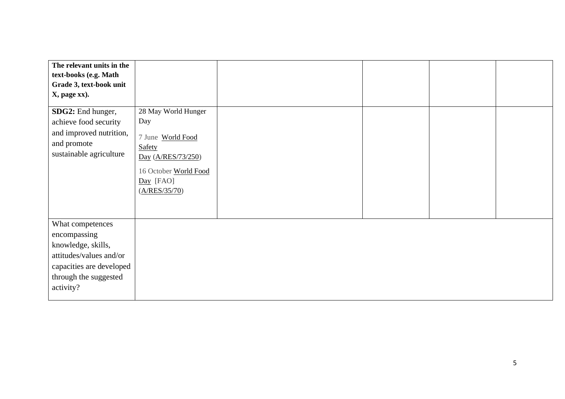| The relevant units in the                                                                                                                           |                                                                                                            |  |  |
|-----------------------------------------------------------------------------------------------------------------------------------------------------|------------------------------------------------------------------------------------------------------------|--|--|
| text-books (e.g. Math                                                                                                                               |                                                                                                            |  |  |
| Grade 3, text-book unit                                                                                                                             |                                                                                                            |  |  |
| X, page xx).                                                                                                                                        |                                                                                                            |  |  |
| SDG2: End hunger,                                                                                                                                   | 28 May World Hunger                                                                                        |  |  |
| achieve food security                                                                                                                               | Day                                                                                                        |  |  |
| and improved nutrition,<br>and promote<br>sustainable agriculture                                                                                   | 7 June World Food<br>Safety<br>Day (A/RES/73/250)<br>16 October World Food<br>$Day$ [FAO]<br>(A/RES/35/70) |  |  |
| What competences<br>encompassing<br>knowledge, skills,<br>attitudes/values and/or<br>capacities are developed<br>through the suggested<br>activity? |                                                                                                            |  |  |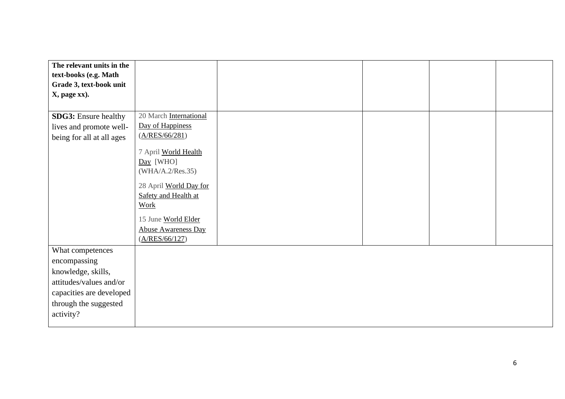| The relevant units in the   |                            |  |  |
|-----------------------------|----------------------------|--|--|
| text-books (e.g. Math       |                            |  |  |
| Grade 3, text-book unit     |                            |  |  |
| X, page xx).                |                            |  |  |
|                             |                            |  |  |
| <b>SDG3:</b> Ensure healthy | 20 March International     |  |  |
| lives and promote well-     | Day of Happiness           |  |  |
| being for all at all ages   | (A/RES/66/281)             |  |  |
|                             | 7 April World Health       |  |  |
|                             | $Day$ [WHO]                |  |  |
|                             | (WHA/A.2/Res.35)           |  |  |
|                             |                            |  |  |
|                             | 28 April World Day for     |  |  |
|                             | Safety and Health at       |  |  |
|                             | Work                       |  |  |
|                             | 15 June World Elder        |  |  |
|                             | <b>Abuse Awareness Day</b> |  |  |
|                             | (A/RES/66/127)             |  |  |
| What competences            |                            |  |  |
| encompassing                |                            |  |  |
| knowledge, skills,          |                            |  |  |
| attitudes/values and/or     |                            |  |  |
| capacities are developed    |                            |  |  |
| through the suggested       |                            |  |  |
| activity?                   |                            |  |  |
|                             |                            |  |  |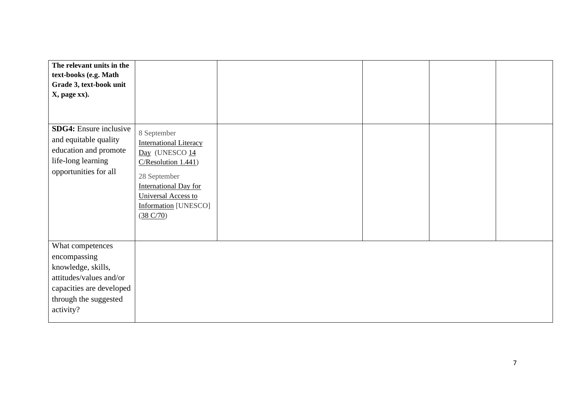| The relevant units in the<br>text-books (e.g. Math<br>Grade 3, text-book unit<br>X, page xx).                                                       |                                                                                                                                                                                                          |  |  |
|-----------------------------------------------------------------------------------------------------------------------------------------------------|----------------------------------------------------------------------------------------------------------------------------------------------------------------------------------------------------------|--|--|
| <b>SDG4:</b> Ensure inclusive<br>and equitable quality<br>education and promote<br>life-long learning<br>opportunities for all                      | 8 September<br><b>International Literacy</b><br>Day (UNESCO 14<br>C/Resolution 1.441)<br>28 September<br><b>International Day for</b><br>Universal Access to<br><b>Information</b> [UNESCO]<br>(38 C/70) |  |  |
| What competences<br>encompassing<br>knowledge, skills,<br>attitudes/values and/or<br>capacities are developed<br>through the suggested<br>activity? |                                                                                                                                                                                                          |  |  |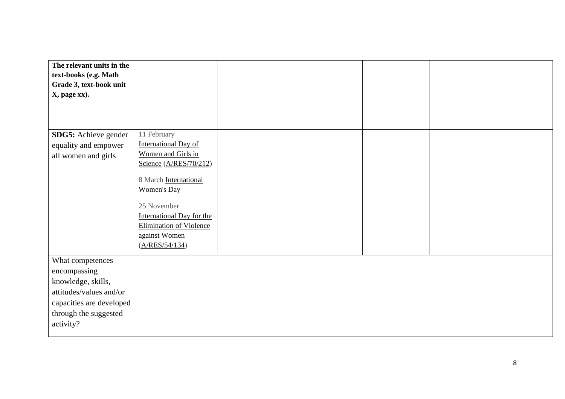| The relevant units in the |                                  |  |  |
|---------------------------|----------------------------------|--|--|
| text-books (e.g. Math     |                                  |  |  |
| Grade 3, text-book unit   |                                  |  |  |
| X, page xx).              |                                  |  |  |
|                           |                                  |  |  |
|                           |                                  |  |  |
|                           |                                  |  |  |
| SDG5: Achieve gender      | 11 February                      |  |  |
| equality and empower      | <b>International Day of</b>      |  |  |
| all women and girls       | Women and Girls in               |  |  |
|                           | Science (A/RES/70/212)           |  |  |
|                           |                                  |  |  |
|                           | 8 March International            |  |  |
|                           | <b>Women's Day</b>               |  |  |
|                           |                                  |  |  |
|                           | 25 November                      |  |  |
|                           | <b>International Day for the</b> |  |  |
|                           | <b>Elimination of Violence</b>   |  |  |
|                           | against Women                    |  |  |
|                           | (A/RES/54/134)                   |  |  |
| What competences          |                                  |  |  |
| encompassing              |                                  |  |  |
| knowledge, skills,        |                                  |  |  |
| attitudes/values and/or   |                                  |  |  |
|                           |                                  |  |  |
| capacities are developed  |                                  |  |  |
| through the suggested     |                                  |  |  |
| activity?                 |                                  |  |  |
|                           |                                  |  |  |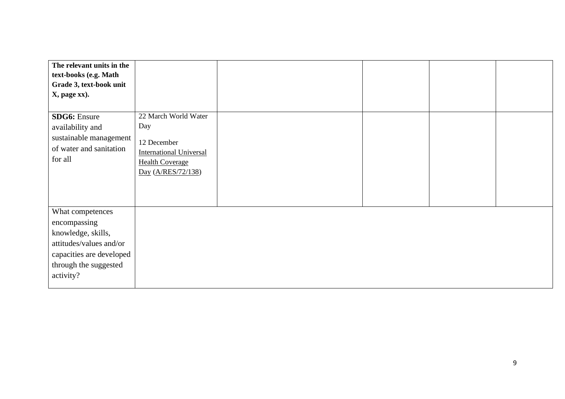| The relevant units in the                                                                                                                           |                                                                                                                              |  |  |
|-----------------------------------------------------------------------------------------------------------------------------------------------------|------------------------------------------------------------------------------------------------------------------------------|--|--|
| text-books (e.g. Math                                                                                                                               |                                                                                                                              |  |  |
| Grade 3, text-book unit                                                                                                                             |                                                                                                                              |  |  |
| X, page xx).                                                                                                                                        |                                                                                                                              |  |  |
|                                                                                                                                                     |                                                                                                                              |  |  |
| <b>SDG6:</b> Ensure<br>availability and<br>sustainable management<br>of water and sanitation<br>for all                                             | 22 March World Water<br>Day<br>12 December<br><b>International Universal</b><br><b>Health Coverage</b><br>Day (A/RES/72/138) |  |  |
|                                                                                                                                                     |                                                                                                                              |  |  |
| What competences<br>encompassing<br>knowledge, skills,<br>attitudes/values and/or<br>capacities are developed<br>through the suggested<br>activity? |                                                                                                                              |  |  |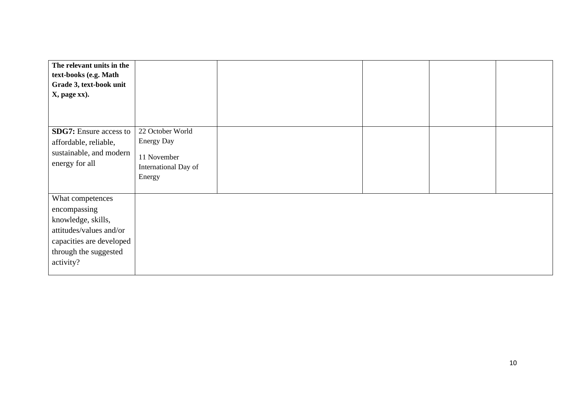| The relevant units in the     |                      |  |  |
|-------------------------------|----------------------|--|--|
| text-books (e.g. Math         |                      |  |  |
| Grade 3, text-book unit       |                      |  |  |
| X, page xx).                  |                      |  |  |
|                               |                      |  |  |
|                               |                      |  |  |
|                               |                      |  |  |
| <b>SDG7:</b> Ensure access to | 22 October World     |  |  |
| affordable, reliable,         | <b>Energy Day</b>    |  |  |
| sustainable, and modern       | 11 November          |  |  |
| energy for all                | International Day of |  |  |
|                               | Energy               |  |  |
|                               |                      |  |  |
|                               |                      |  |  |
| What competences              |                      |  |  |
| encompassing                  |                      |  |  |
| knowledge, skills,            |                      |  |  |
| attitudes/values and/or       |                      |  |  |
| capacities are developed      |                      |  |  |
| through the suggested         |                      |  |  |
| activity?                     |                      |  |  |
|                               |                      |  |  |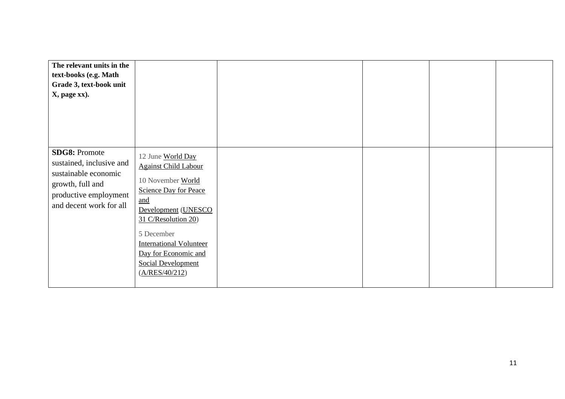| The relevant units in the                                                                                                                        |                                                                                                                                                                                                                                                                                                        |  |  |
|--------------------------------------------------------------------------------------------------------------------------------------------------|--------------------------------------------------------------------------------------------------------------------------------------------------------------------------------------------------------------------------------------------------------------------------------------------------------|--|--|
| text-books (e.g. Math<br>Grade 3, text-book unit<br>X, page xx).                                                                                 |                                                                                                                                                                                                                                                                                                        |  |  |
| <b>SDG8: Promote</b><br>sustained, inclusive and<br>sustainable economic<br>growth, full and<br>productive employment<br>and decent work for all | 12 June World Day<br><b>Against Child Labour</b><br>10 November World<br><b>Science Day for Peace</b><br>$\underline{\text{and}}$<br>Development (UNESCO<br>31 C/Resolution 20)<br>5 December<br><b>International Volunteer</b><br>Day for Economic and<br><b>Social Development</b><br>(A/RES/40/212) |  |  |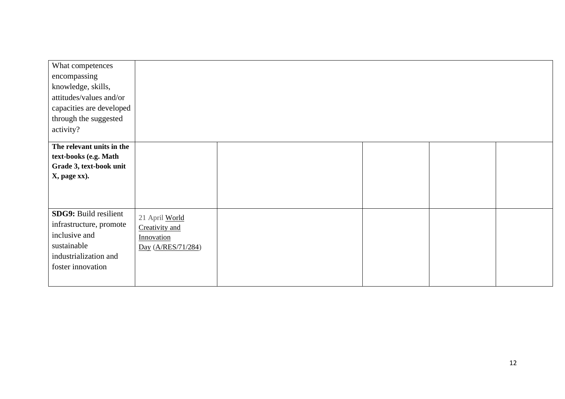| What competences             |                    |  |  |
|------------------------------|--------------------|--|--|
| encompassing                 |                    |  |  |
| knowledge, skills,           |                    |  |  |
| attitudes/values and/or      |                    |  |  |
| capacities are developed     |                    |  |  |
| through the suggested        |                    |  |  |
| activity?                    |                    |  |  |
| The relevant units in the    |                    |  |  |
| text-books (e.g. Math        |                    |  |  |
| Grade 3, text-book unit      |                    |  |  |
| X, page xx).                 |                    |  |  |
|                              |                    |  |  |
|                              |                    |  |  |
|                              |                    |  |  |
| <b>SDG9: Build resilient</b> | 21 April World     |  |  |
| infrastructure, promote      | Creativity and     |  |  |
| inclusive and                | Innovation         |  |  |
| sustainable                  | Day (A/RES/71/284) |  |  |
| industrialization and        |                    |  |  |
| foster innovation            |                    |  |  |
|                              |                    |  |  |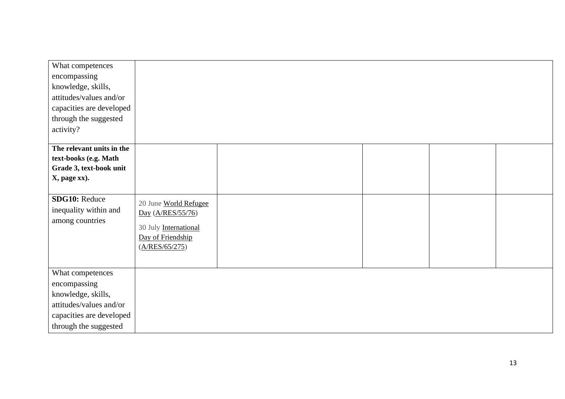| What competences          |                       |  |  |
|---------------------------|-----------------------|--|--|
| encompassing              |                       |  |  |
| knowledge, skills,        |                       |  |  |
| attitudes/values and/or   |                       |  |  |
| capacities are developed  |                       |  |  |
| through the suggested     |                       |  |  |
| activity?                 |                       |  |  |
|                           |                       |  |  |
| The relevant units in the |                       |  |  |
| text-books (e.g. Math     |                       |  |  |
| Grade 3, text-book unit   |                       |  |  |
| X, page xx).              |                       |  |  |
|                           |                       |  |  |
| <b>SDG10: Reduce</b>      | 20 June World Refugee |  |  |
| inequality within and     | Day (A/RES/55/76)     |  |  |
| among countries           | 30 July International |  |  |
|                           | Day of Friendship     |  |  |
|                           | (A/RES/65/275)        |  |  |
|                           |                       |  |  |
|                           |                       |  |  |
| What competences          |                       |  |  |
| encompassing              |                       |  |  |
| knowledge, skills,        |                       |  |  |
| attitudes/values and/or   |                       |  |  |
| capacities are developed  |                       |  |  |
| through the suggested     |                       |  |  |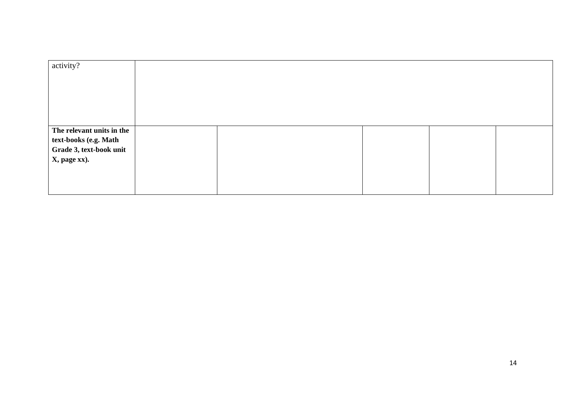| activity?                                                                                     |  |  |  |
|-----------------------------------------------------------------------------------------------|--|--|--|
| The relevant units in the<br>text-books (e.g. Math<br>Grade 3, text-book unit<br>X, page xx). |  |  |  |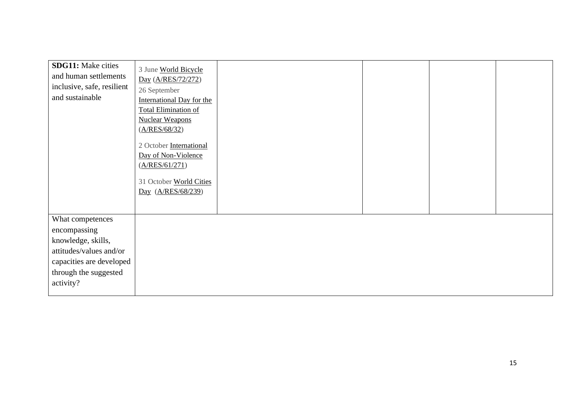| <b>SDG11:</b> Make cities<br>and human settlements<br>inclusive, safe, resilient<br>and sustainable                                                 | 3 June World Bicycle<br>Day (A/RES/72/272)<br>26 September<br>International Day for the<br><b>Total Elimination of</b><br><b>Nuclear Weapons</b><br>(A/RES/68/32)<br>2 October International<br>Day of Non-Violence<br>(A/RES/61/271)<br>31 October World Cities<br>Day (A/RES/68/239) |
|-----------------------------------------------------------------------------------------------------------------------------------------------------|----------------------------------------------------------------------------------------------------------------------------------------------------------------------------------------------------------------------------------------------------------------------------------------|
| What competences<br>encompassing<br>knowledge, skills,<br>attitudes/values and/or<br>capacities are developed<br>through the suggested<br>activity? |                                                                                                                                                                                                                                                                                        |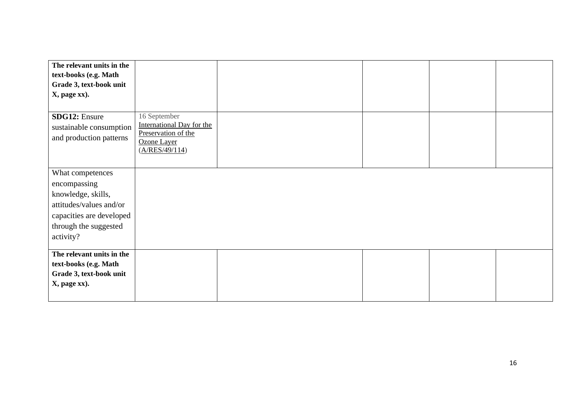| The relevant units in the |                                    |  |  |
|---------------------------|------------------------------------|--|--|
| text-books (e.g. Math     |                                    |  |  |
| Grade 3, text-book unit   |                                    |  |  |
| X, page xx).              |                                    |  |  |
|                           |                                    |  |  |
| <b>SDG12: Ensure</b>      | 16 September                       |  |  |
| sustainable consumption   | <b>International Day for the</b>   |  |  |
| and production patterns   | Preservation of the<br>Ozone Layer |  |  |
|                           | (A/RES/49/114)                     |  |  |
|                           |                                    |  |  |
|                           |                                    |  |  |
| What competences          |                                    |  |  |
| encompassing              |                                    |  |  |
| knowledge, skills,        |                                    |  |  |
| attitudes/values and/or   |                                    |  |  |
| capacities are developed  |                                    |  |  |
| through the suggested     |                                    |  |  |
| activity?                 |                                    |  |  |
|                           |                                    |  |  |
| The relevant units in the |                                    |  |  |
| text-books (e.g. Math     |                                    |  |  |
| Grade 3, text-book unit   |                                    |  |  |
| X, page xx).              |                                    |  |  |
|                           |                                    |  |  |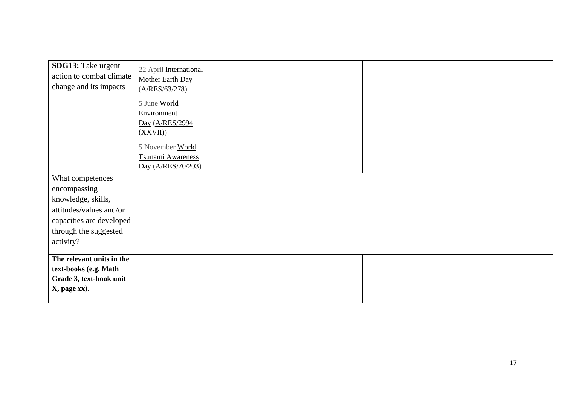| SDG13: Take urgent        |                        |  |  |
|---------------------------|------------------------|--|--|
| action to combat climate  | 22 April International |  |  |
|                           | Mother Earth Day       |  |  |
| change and its impacts    | (A/RES/63/278)         |  |  |
|                           |                        |  |  |
|                           | 5 June World           |  |  |
|                           | Environment            |  |  |
|                           | Day (A/RES/2994        |  |  |
|                           | (XXVII)                |  |  |
|                           |                        |  |  |
|                           | 5 November World       |  |  |
|                           | Tsunami Awareness      |  |  |
|                           | Day (A/RES/70/203)     |  |  |
|                           |                        |  |  |
| What competences          |                        |  |  |
| encompassing              |                        |  |  |
| knowledge, skills,        |                        |  |  |
| attitudes/values and/or   |                        |  |  |
|                           |                        |  |  |
| capacities are developed  |                        |  |  |
| through the suggested     |                        |  |  |
| activity?                 |                        |  |  |
|                           |                        |  |  |
| The relevant units in the |                        |  |  |
| text-books (e.g. Math     |                        |  |  |
| Grade 3, text-book unit   |                        |  |  |
|                           |                        |  |  |
| X, page xx).              |                        |  |  |
|                           |                        |  |  |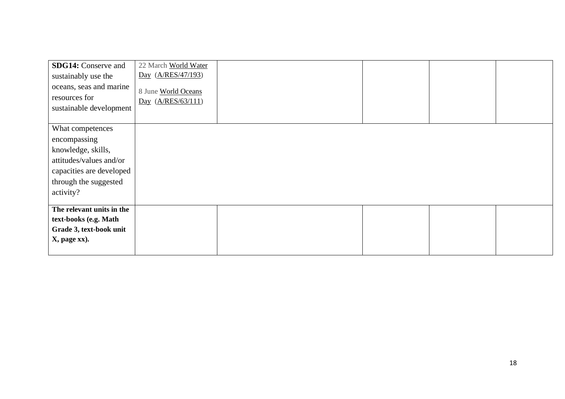| <b>SDG14:</b> Conserve and<br>sustainably use the<br>oceans, seas and marine<br>resources for<br>sustainable development                            | 22 March World Water<br>Day (A/RES/47/193)<br>8 June World Oceans<br>Day (A/RES/63/111) |  |  |
|-----------------------------------------------------------------------------------------------------------------------------------------------------|-----------------------------------------------------------------------------------------|--|--|
| What competences<br>encompassing<br>knowledge, skills,<br>attitudes/values and/or<br>capacities are developed<br>through the suggested<br>activity? |                                                                                         |  |  |
| The relevant units in the<br>text-books (e.g. Math<br>Grade 3, text-book unit<br>X, page xx).                                                       |                                                                                         |  |  |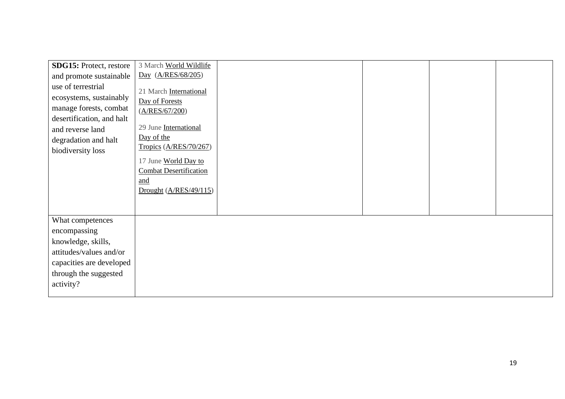| SDG15: Protect, restore   | 3 March World Wildlife        |  |  |
|---------------------------|-------------------------------|--|--|
| and promote sustainable   | Day (A/RES/68/205)            |  |  |
| use of terrestrial        | 21 March International        |  |  |
| ecosystems, sustainably   | Day of Forests                |  |  |
| manage forests, combat    | (A/RES/67/200)                |  |  |
| desertification, and halt |                               |  |  |
| and reverse land          | 29 June International         |  |  |
| degradation and halt      | Day of the                    |  |  |
| biodiversity loss         | Tropics (A/RES/70/267)        |  |  |
|                           | 17 June World Day to          |  |  |
|                           | <b>Combat Desertification</b> |  |  |
|                           | and                           |  |  |
|                           | Drought $(A/RES/49/115)$      |  |  |
|                           |                               |  |  |
|                           |                               |  |  |
| What competences          |                               |  |  |
| encompassing              |                               |  |  |
| knowledge, skills,        |                               |  |  |
| attitudes/values and/or   |                               |  |  |
| capacities are developed  |                               |  |  |
| through the suggested     |                               |  |  |
| activity?                 |                               |  |  |
|                           |                               |  |  |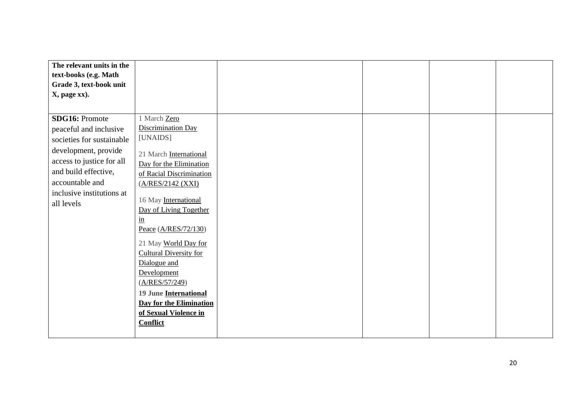| The relevant units in the                       |                                    |  |  |
|-------------------------------------------------|------------------------------------|--|--|
| text-books (e.g. Math                           |                                    |  |  |
| Grade 3, text-book unit                         |                                    |  |  |
| X, page xx).                                    |                                    |  |  |
|                                                 |                                    |  |  |
| <b>SDG16: Promote</b><br>peaceful and inclusive | 1 March Zero<br>Discrimination Day |  |  |
|                                                 | [UNAIDS]                           |  |  |
| societies for sustainable                       |                                    |  |  |
| development, provide                            | 21 March International             |  |  |
| access to justice for all                       | Day for the Elimination            |  |  |
| and build effective,                            | of Racial Discrimination           |  |  |
| accountable and                                 | (A/RES/2142 (XXI)                  |  |  |
| inclusive institutions at                       |                                    |  |  |
| all levels                                      | 16 May International               |  |  |
|                                                 | Day of Living Together             |  |  |
|                                                 | $\frac{\text{in}}{\ }$             |  |  |
|                                                 | Peace (A/RES/72/130)               |  |  |
|                                                 | 21 May World Day for               |  |  |
|                                                 | <b>Cultural Diversity for</b>      |  |  |
|                                                 | Dialogue and                       |  |  |
|                                                 | Development                        |  |  |
|                                                 | (A/RES/57/249)                     |  |  |
|                                                 | <b>19 June International</b>       |  |  |
|                                                 | <b>Day for the Elimination</b>     |  |  |
|                                                 | of Sexual Violence in              |  |  |
|                                                 | <b>Conflict</b>                    |  |  |
|                                                 |                                    |  |  |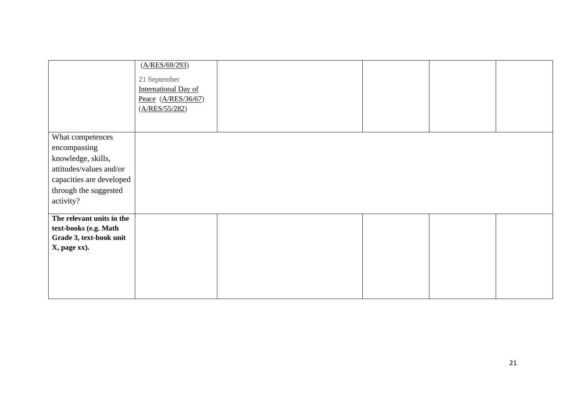|                           | (A/RES/69/293)<br>21 September<br><b>International Day of</b><br>Peace $(A/RES/36/67)$<br>(A/RES/55/282) |  |  |
|---------------------------|----------------------------------------------------------------------------------------------------------|--|--|
| What competences          |                                                                                                          |  |  |
|                           |                                                                                                          |  |  |
| encompassing              |                                                                                                          |  |  |
| knowledge, skills,        |                                                                                                          |  |  |
| attitudes/values and/or   |                                                                                                          |  |  |
| capacities are developed  |                                                                                                          |  |  |
| through the suggested     |                                                                                                          |  |  |
| activity?                 |                                                                                                          |  |  |
|                           |                                                                                                          |  |  |
| The relevant units in the |                                                                                                          |  |  |
| text-books (e.g. Math     |                                                                                                          |  |  |
| Grade 3, text-book unit   |                                                                                                          |  |  |
| X, page xx).              |                                                                                                          |  |  |
|                           |                                                                                                          |  |  |
|                           |                                                                                                          |  |  |
|                           |                                                                                                          |  |  |
|                           |                                                                                                          |  |  |
|                           |                                                                                                          |  |  |
|                           |                                                                                                          |  |  |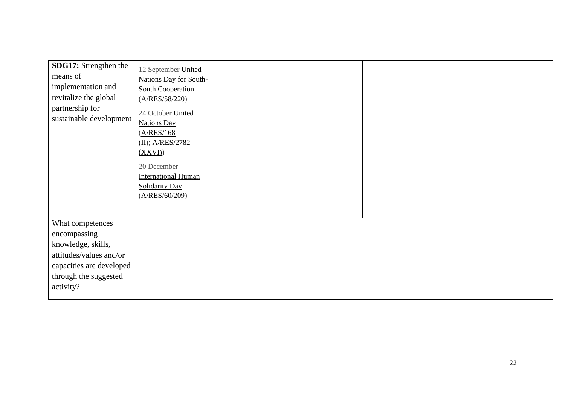| SDG17: Strengthen the<br>means of<br>implementation and<br>revitalize the global<br>partnership for<br>sustainable development                      | 12 September United<br>Nations Day for South-<br><b>South Cooperation</b><br>(A/RES/58/220)<br>24 October United<br><b>Nations Day</b><br>(A/RES/168)<br>$(II)$ ; A/RES/2782<br>(XXVI)<br>20 December<br><b>International Human</b><br><b>Solidarity Day</b><br>(A/RES/60/209) |
|-----------------------------------------------------------------------------------------------------------------------------------------------------|--------------------------------------------------------------------------------------------------------------------------------------------------------------------------------------------------------------------------------------------------------------------------------|
| What competences<br>encompassing<br>knowledge, skills,<br>attitudes/values and/or<br>capacities are developed<br>through the suggested<br>activity? |                                                                                                                                                                                                                                                                                |